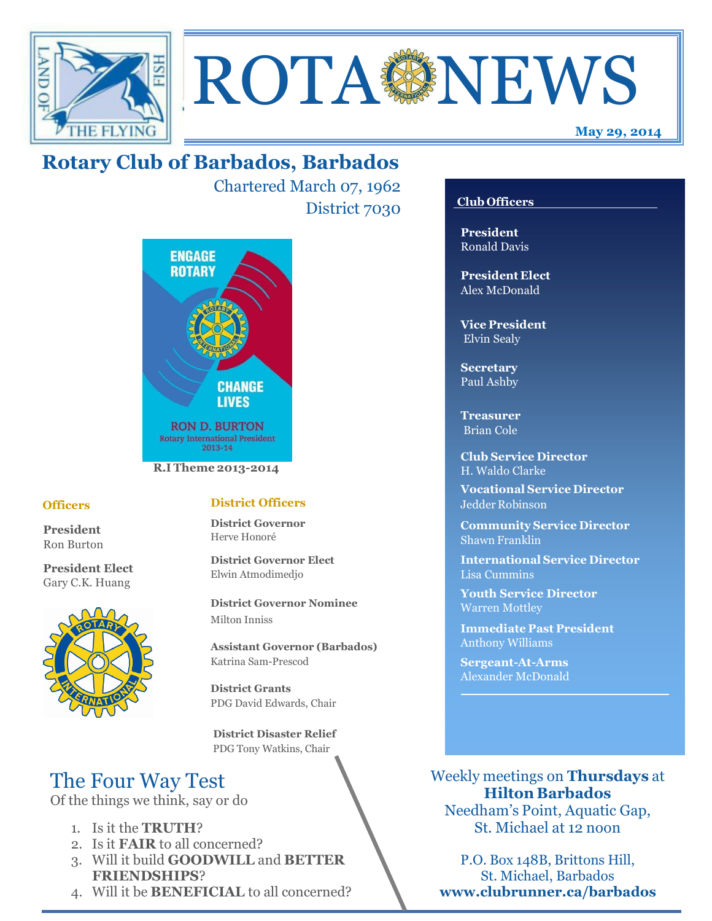



# **Rotary Club of Barbados, Barbados**

Chartered March 07, 1962 District 7030



### **Officers**

**President** Ron Burton

**President Elect** Gary C.K. Huang



### **District Officers**

**District Governor** Herve Honoré

**District Governor Elect** Elwin Atmodimedjo

**District Governor Nominee**  Milton Inniss

**Assistant Governor (Barbados)** Katrina Sam-Prescod

**District Grants**  PDG David Edwards, Chair

 **District Disaster Relief** PDG Tony Watkins, Chair

# The Four Way Test

Of the things we think, say or do

- 1. Is it the **TRUTH**?
- 2. Is it **FAIR** to all concerned?
- 3. Will it build **GOODWILL** and **BETTER FRIENDSHIPS**?
- 4. Will it be **BENEFICIAL** to all concerned?

## **Club Officers**

**President** Ronald Davis

**President Elect** Alex McDonald

**Vice President** Elvin Sealy

**Secretary** Paul Ashby

**Treasurer** Brian Cole

**Club Service Director** H. Waldo Clarke

**Vocational Service Director** Jedder Robinson

**Community Service Director** Shawn Franklin

**International Service Director** Lisa Cummins

**Youth Service Director** Warren Mottley

**Immediate Past President** Anthony Williams

**Sergeant-At-Arms** Alexander McDonald

Weekly meetings on **Thursdays** at **Hilton Barbados** Needham's Point, Aquatic Gap,

St. Michael at 12 noon

P.O. Box 148B, Brittons Hill, St. Michael, Barbados **www.clubrunner.ca/barbados**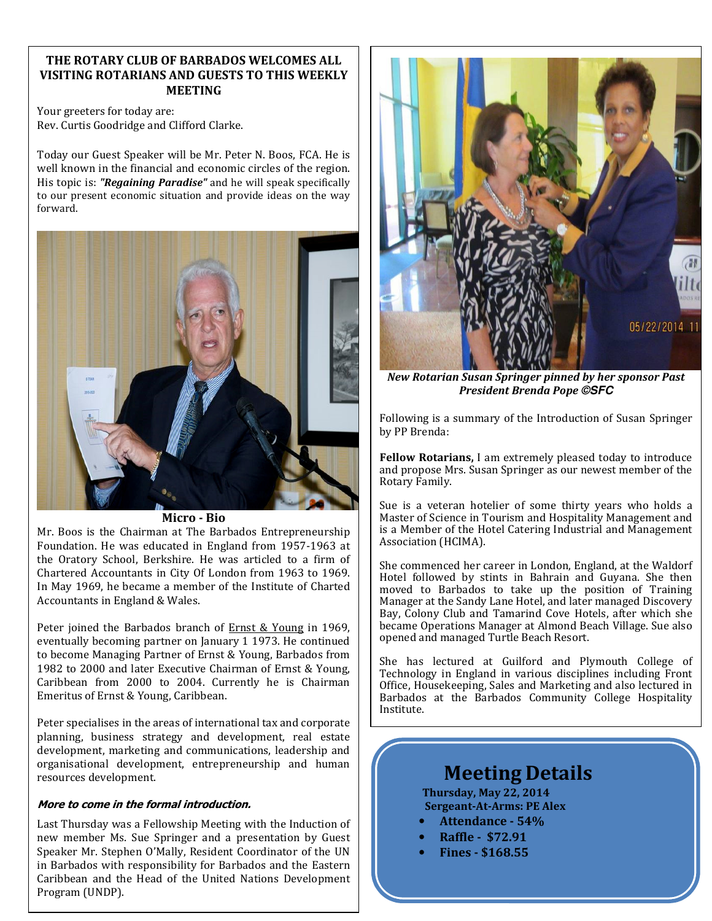#### **THE ROTARY CLUB OF BARBADOS WELCOMES ALL VISITING ROTARIANS AND GUESTS TO THIS WEEKLY MEETING**

Your greeters for today are: Rev. Curtis Goodridge and Clifford Clarke.

Today our Guest Speaker will be Mr. Peter N. Boos, FCA. He is well known in the financial and economic circles of the region. His topic is: *"Regaining Paradise"* and he will speak specifically to our present economic situation and provide ideas on the way forward.



#### **Micro - Bio**

Mr. Boos is the Chairman at The Barbados Entrepreneurship Foundation. He was educated in England from 1957-1963 at the Oratory School, Berkshire. He was articled to a firm of Chartered Accountants in City Of London from 1963 to 1969. In May 1969, he became a member of the Institute of Charted Accountants in England & Wales.

Peter joined the Barbados branch of **Ernst & Young** in 1969, eventually becoming partner on January 1 1973. He continued to become Managing Partner of Ernst & Young, Barbados from 1982 to 2000 and later Executive Chairman of Ernst & Young, Caribbean from 2000 to 2004. Currently he is Chairman Emeritus of Ernst & Young, Caribbean.

Peter specialises in the areas of international tax and corporate planning, business strategy and development, real estate development, marketing and communications, leadership and organisational development, entrepreneurship and human resources development.

#### **More to come in the formal introduction.**

Last Thursday was a Fellowship Meeting with the Induction of new member Ms. Sue Springer and a presentation by Guest Speaker Mr. Stephen O'Mally, Resident Coordinator of the UN in Barbados with responsibility for Barbados and the Eastern Caribbean and the Head of the United Nations Development Program (UNDP).



*New Rotarian Susan Springer pinned by her sponsor Past President Brenda Pope* **©SFC**

Following is a summary of the Introduction of Susan Springer by PP Brenda:

**Fellow Rotarians,** I am extremely pleased today to introduce and propose Mrs. Susan Springer as our newest member of the Rotary Family.

Sue is a veteran hotelier of some thirty years who holds a Master of Science in Tourism and Hospitality Management and is a Member of the Hotel Catering Industrial and Management Association (HCIMA).

She commenced her career in London, England, at the Waldorf Hotel followed by stints in Bahrain and Guyana. She then moved to Barbados to take up the position of Training Manager at the Sandy Lane Hotel, and later managed Discovery Bay, Colony Club and Tamarind Cove Hotels, after which she became Operations Manager at Almond Beach Village. Sue also opened and managed Turtle Beach Resort.

She has lectured at Guilford and Plymouth College of Technology in England in various disciplines including Front Office, Housekeeping, Sales and Marketing and also lectured in Barbados at the Barbados Community College Hospitality Institute.

# **Meeting Details**

**Thursday, May 22, 2014 Sergeant-At-Arms: PE Alex** 

- **Attendance 54%**
- **Raffle \$72.91**
- **Fines \$168.55**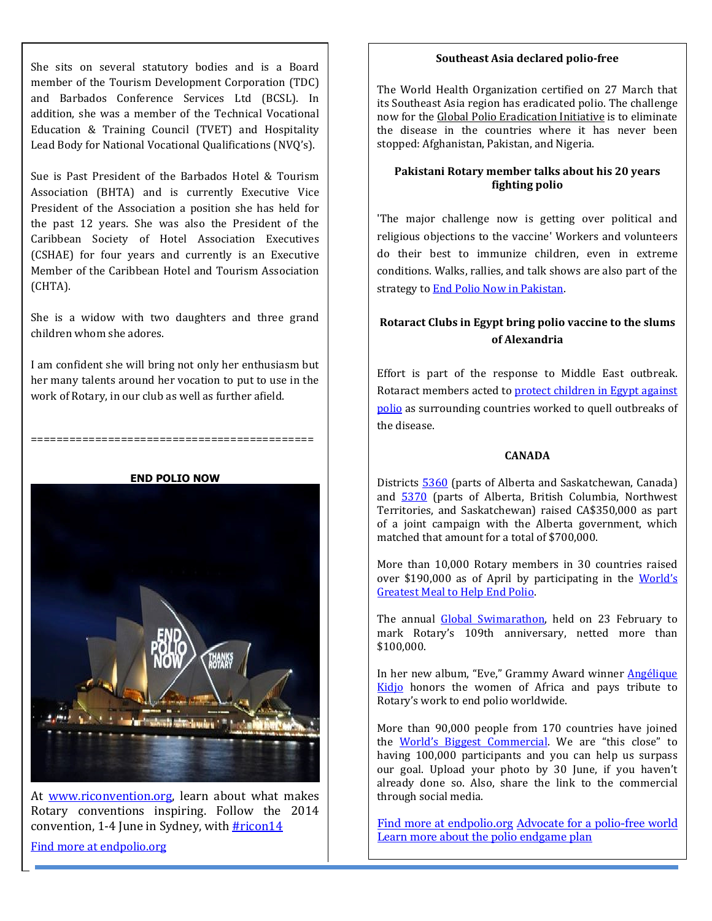and *Barbados* comerence services Eta (BCSE). In She sits on several statutory bodies and is a Board member of the Tourism Development Corporation (TDC) and Barbados Conference Services Ltd (BCSL). In Education & Training Council (TVET) and Hospitality Lead Body for National Vocational Qualifications (NVQ's).

Sue is Past President of the Barbados Hotel & Tourism Association (BHTA) and is currently Executive Vice President of the Association a position she has held for the past 12 years. She was also the President of the Caribbean Society of Hotel Association Executives (CSHAE) for four years and currently is an Executive Member of the Caribbean Hotel and Tourism Association (CHTA).

She is a widow with two daughters and three grand children whom she adores.

I am confident she will bring not only her enthusiasm but her many talents around her vocation to put to use in the work of Rotary, in our club as well as further afield.

============================================



At www.riconvention.org, learn about what makes Rotary conventions inspiring. Follow the 2014 convention, 1-4 June in Sydney, with  $\frac{\text{#ricon14}}{\text{#ricon14}}$ 

Find more at endpolio.org

#### **Southeast Asia declared polio-free**

The World Health Organization certified on 27 March that its Southeast Asia region has eradicated polio. The challenge now for the Global Polio Eradication Initiative is to eliminate the disease in the countries where it has never been stopped: Afghanistan, Pakistan, and Nigeria.

#### **Pakistani Rotary member talks about his 20 years fighting polio**

'The major challenge now is getting over political and religious objections to the vaccine' Workers and volunteers do their best to immunize children, even in extreme conditions. Walks, rallies, and talk shows are also part of the strategy to End Polio Now in Pakistan.

## **Rotaract Clubs in Egypt bring polio vaccine to the slums of Alexandria**

Effort is part of the response to Middle East outbreak. Rotaract members acted to protect children in Egypt against polio as surrounding countries worked to quell outbreaks of the disease.

#### **CANADA**

Districts 5360 (parts of Alberta and Saskatchewan, Canada) and 5370 (parts of Alberta, British Columbia, Northwest Territories, and Saskatchewan) raised CA\$350,000 as part of a joint campaign with the Alberta government, which matched that amount for a total of \$700,000.

More than 10,000 Rotary members in 30 countries raised over \$190,000 as of April by participating in the World's Greatest Meal to Help End Polio.

The annual Global Swimarathon, held on 23 February to mark Rotary's 109th anniversary, netted more than \$100,000.

In her new album, "Eve," Grammy Award winner Angélique Kidjo honors the women of Africa and pays tribute to Rotary's work to end polio worldwide.

More than 90,000 people from 170 countries have joined the World's Biggest Commercial. We are "this close" to having 100,000 participants and you can help us surpass our goal. Upload your photo by 30 June, if you haven't already done so. Also, share the link to the commercial through social media.

 Learn more about the polio endgame planFind more at endpolio.org Advocate for a polio-free world